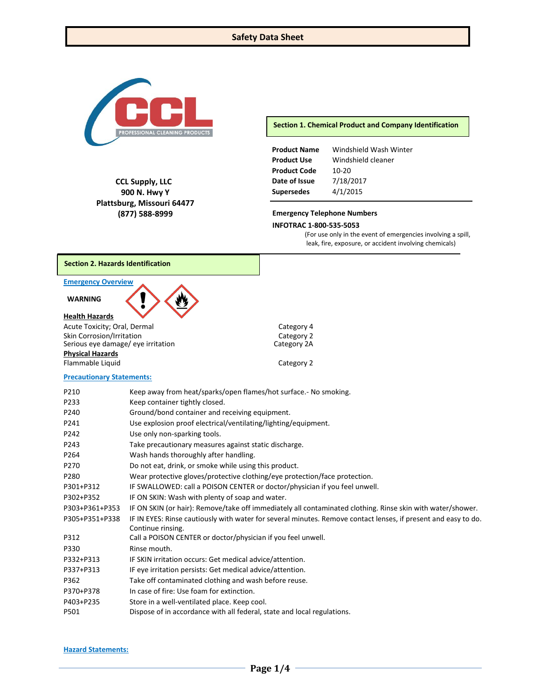

**CCL Supply, LLC 900 N. Hwy Y Plattsburg, Missouri 64477 (877) 588-8999**

**Section 1. Chemical Product and Company Identification**

| <b>Product Name</b> | Windshield Wash Winter |
|---------------------|------------------------|
| <b>Product Use</b>  | Windshield cleaner     |
| <b>Product Code</b> | $10 - 20$              |
| Date of Issue       | 7/18/2017              |
| <b>Supersedes</b>   | 4/1/2015               |

# **Emergency Telephone Numbers**

#### **INFOTRAC 1-800-535-5053**

(For use only in the event of emergencies involving a spill, leak, fire, exposure, or accident involving chemicals)

# **Section 2. Hazards Identification**

# **Emergency Overview**

### **WARNING**

# **Health Hazards**

Acute Toxicity; Oral, Dermal Category 4 Skin Corrosion/Irritation<br>
Serious eye damage/ eye irritation<br>
Category 2A Serious eye damage/ eye irritation **Physical Hazards** Flammable Liquid **Category 2** 

#### **Precautionary Statements:**

| P210           | Keep away from heat/sparks/open flames/hot surface.- No smoking.                                               |
|----------------|----------------------------------------------------------------------------------------------------------------|
| P233           | Keep container tightly closed.                                                                                 |
| P240           | Ground/bond container and receiving equipment.                                                                 |
| P241           | Use explosion proof electrical/ventilating/lighting/equipment.                                                 |
| P242           | Use only non-sparking tools.                                                                                   |
| P243           | Take precautionary measures against static discharge.                                                          |
| P264           | Wash hands thoroughly after handling.                                                                          |
| P270           | Do not eat, drink, or smoke while using this product.                                                          |
| P280           | Wear protective gloves/protective clothing/eye protection/face protection.                                     |
| P301+P312      | IF SWALLOWED: call a POISON CENTER or doctor/physician if you feel unwell.                                     |
| P302+P352      | IF ON SKIN: Wash with plenty of soap and water.                                                                |
| P303+P361+P353 | IF ON SKIN (or hair): Remove/take off immediately all contaminated clothing. Rinse skin with water/shower.     |
| P305+P351+P338 | IF IN EYES: Rinse cautiously with water for several minutes. Remove contact lenses, if present and easy to do. |
|                | Continue rinsing.                                                                                              |
| P312           | Call a POISON CENTER or doctor/physician if you feel unwell.                                                   |
| P330           | Rinse mouth.                                                                                                   |
| P332+P313      | IF SKIN irritation occurs: Get medical advice/attention.                                                       |
| P337+P313      | IF eye irritation persists: Get medical advice/attention.                                                      |
| P362           | Take off contaminated clothing and wash before reuse.                                                          |
| P370+P378      | In case of fire: Use foam for extinction.                                                                      |
| P403+P235      | Store in a well-ventilated place. Keep cool.                                                                   |
| P501           | Dispose of in accordance with all federal, state and local regulations.                                        |
|                |                                                                                                                |

#### **Hazard Statements:**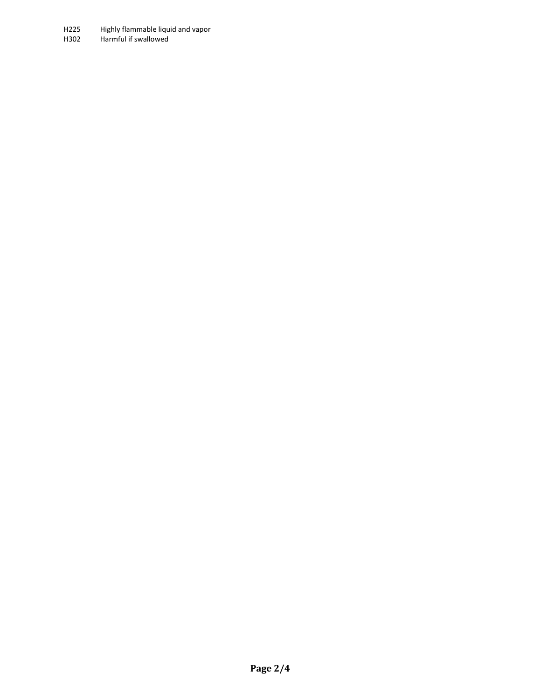H225 Highly flammable liquid and vapor<br>H302 Harmful if swallowed Harmful if swallowed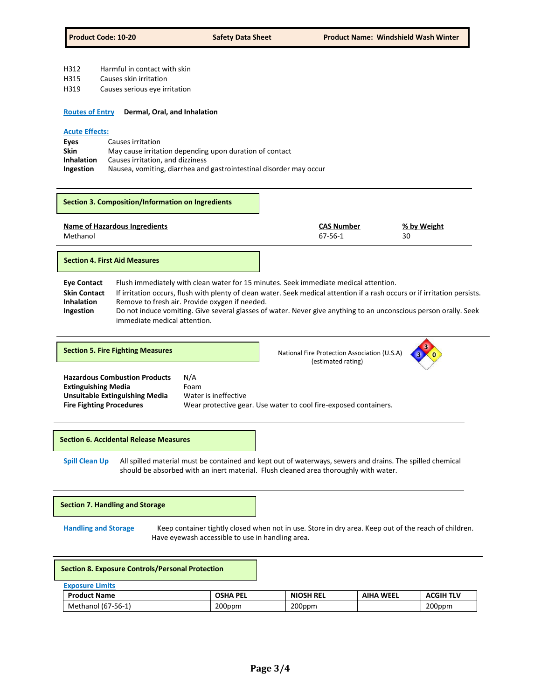- H312 Harmful in contact with skin
- H315 Causes skin irritation
- H319 Causes serious eye irritation
- **Routes of Entry Dermal, Oral, and Inhalation**

# **Acute Effects:**

| Eves              | Causes irritation                                                  |
|-------------------|--------------------------------------------------------------------|
| Skin              | May cause irritation depending upon duration of contact            |
| <b>Inhalation</b> | Causes irritation, and dizziness                                   |
| Ingestion         | Nausea, vomiting, diarrhea and gastrointestinal disorder may occur |

| Section 3. Composition/Information on Ingredients |                              |                   |
|---------------------------------------------------|------------------------------|-------------------|
| Name of Hazardous Ingredients<br>Methanol         | <b>CAS Number</b><br>67-56-1 | % by Weight<br>30 |
| <b>Section 4. First Aid Measures</b>              |                              |                   |

| <b>Eve Contact</b>  | Flush immediately with clean water for 15 minutes. Seek immediate medical attention.                                       |
|---------------------|----------------------------------------------------------------------------------------------------------------------------|
| <b>Skin Contact</b> | If irritation occurs, flush with plenty of clean water. Seek medical attention if a rash occurs or if irritation persists. |
| <b>Inhalation</b>   | Remove to fresh air. Provide oxygen if needed.                                                                             |
| Ingestion           | Do not induce vomiting. Give several glasses of water. Never give anything to an unconscious person orally. Seek           |
|                     | immediate medical attention.                                                                                               |

|  |  |  | <b>Section 5. Fire Fighting Measures</b> |
|--|--|--|------------------------------------------|
|--|--|--|------------------------------------------|

National Fire Protection Association (U.S.A) (estimated rating)



**Hazardous Combustion Products** N/A **Extinguishing Media** Foam **Unsuitable Extinguishing Media** Water is ineffective **Fire Fighting Procedures** Wear protective gear. Use water to cool fire-exposed containers.

**Section 6. Accidental Release Measures**

**Spill Clean Up** All spilled material must be contained and kept out of waterways, sewers and drains. The spilled chemical should be absorbed with an inert material. Flush cleaned area thoroughly with water.

**Section 7. Handling and Storage**

**Handling and Storage** Keep container tightly closed when not in use. Store in dry area. Keep out of the reach of children. Have eyewash accessible to use in handling area.

| <b>Section 8. Exposure Controls/Personal Protection</b> |                 |                  |                  |                  |
|---------------------------------------------------------|-----------------|------------------|------------------|------------------|
| <b>Exposure Limits</b>                                  |                 |                  |                  |                  |
| <b>Product Name</b>                                     | <b>OSHA PEL</b> | <b>NIOSH REL</b> | <b>AIHA WEEL</b> | <b>ACGIH TLV</b> |
| Methanol (67-56-1)                                      | 200ppm          | 200ppm           |                  | 200ppm           |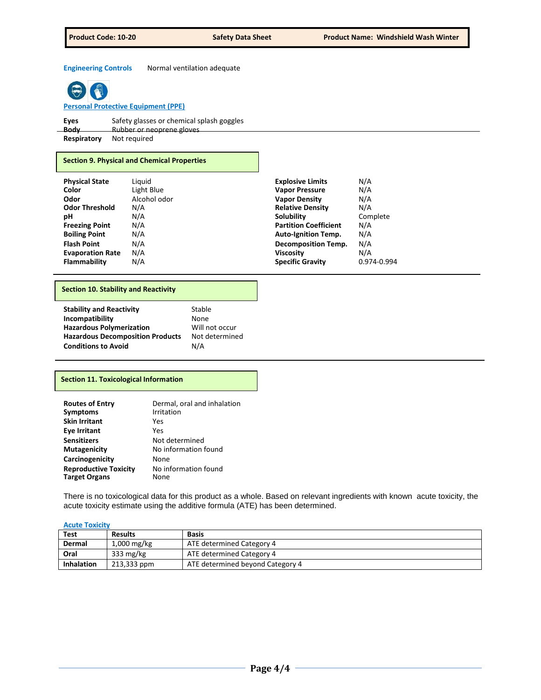**Engineering Controls** Normal ventilation adequate



**Personal Protective Equipment (PPE)**

| Eyes        | Safety glasses or chemical splash goggles |
|-------------|-------------------------------------------|
| _Body_      | Rubber or neoprene gloves                 |
| Respiratory | Not required                              |
|             |                                           |

# **Section 9. Physical and Chemical Properties**

| <b>Physical State</b>   | Liguid       | <b>Explosive Limits</b>      | N/A         |
|-------------------------|--------------|------------------------------|-------------|
| Color                   | Light Blue   | <b>Vapor Pressure</b>        | N/A         |
| Odor                    | Alcohol odor | <b>Vapor Density</b>         | N/A         |
| <b>Odor Threshold</b>   | N/A          | <b>Relative Density</b>      | N/A         |
| рH                      | N/A          | Solubility                   | Complete    |
| <b>Freezing Point</b>   | N/A          | <b>Partition Coefficient</b> | N/A         |
| <b>Boiling Point</b>    | N/A          | <b>Auto-Ignition Temp.</b>   | N/A         |
| <b>Flash Point</b>      | N/A          | <b>Decomposition Temp.</b>   | N/A         |
| <b>Evaporation Rate</b> | N/A          | <b>Viscosity</b>             | N/A         |
| <b>Flammability</b>     | N/A          | <b>Specific Gravity</b>      | 0.974-0.994 |
|                         |              |                              |             |

# **Section 10. Stability and Reactivity**

# **Section 11. Toxicological Information**

| <b>Routes of Entry</b>                               | Dermal, oral and inhalation  |
|------------------------------------------------------|------------------------------|
| <b>Symptoms</b>                                      | Irritation                   |
| <b>Skin Irritant</b>                                 | Yes                          |
| <b>Eye Irritant</b>                                  | Yes                          |
| <b>Sensitizers</b>                                   | Not determined               |
| <b>Mutagenicity</b>                                  | No information found         |
| Carcinogenicity                                      | None                         |
| <b>Reproductive Toxicity</b><br><b>Target Organs</b> | No information found<br>None |
|                                                      |                              |

There is no toxicological data for this product as a whole. Based on relevant ingredients with known acute toxicity, the acute toxicity estimate using the additive formula (ATE) has been determined.

# **Acute Toxicity**

| <b>Test</b>       | <b>Results</b> | Basis                            |
|-------------------|----------------|----------------------------------|
| Dermal            | $1,000$ mg/kg  | ATE determined Category 4        |
| Oral              | 333 $mg/kg$    | ATE determined Category 4        |
| <b>Inhalation</b> | 213,333 ppm    | ATE determined beyond Category 4 |